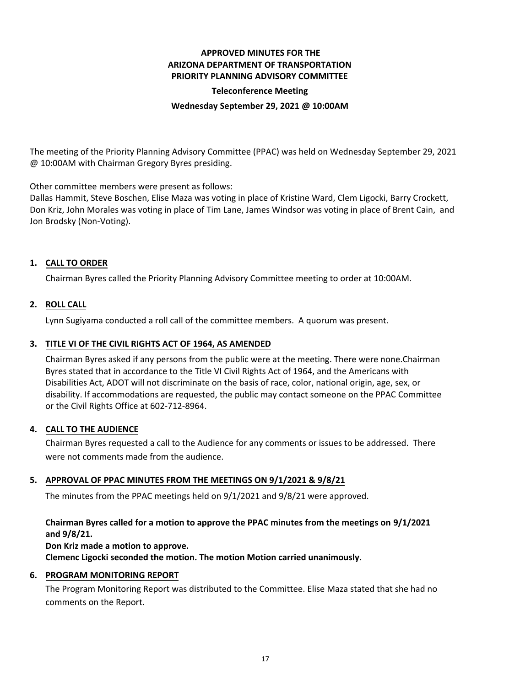# **APPROVED MINUTES FOR THE ARIZONA DEPARTMENT OF TRANSPORTATION PRIORITY PLANNING ADVISORY COMMITTEE**

#### **Teleconference Meeting**

#### **Wednesday September 29, 2021 @ 10:00AM**

The meeting of the Priority Planning Advisory Committee (PPAC) was held on Wednesday September 29, 2021 @ 10:00AM with Chairman Gregory Byres presiding.

Other committee members were present as follows:

Dallas Hammit, Steve Boschen, Elise Maza was voting in place of Kristine Ward, Clem Ligocki, Barry Crockett, Don Kriz, John Morales was voting in place of Tim Lane, James Windsor was voting in place of Brent Cain, and Jon Brodsky (Non-Voting).

# **CALL TO ORDER 1.**

Chairman Byres called the Priority Planning Advisory Committee meeting to order at 10:00AM.

## **ROLL CALL 2.**

Lynn Sugiyama conducted a roll call of the committee members. A quorum was present.

# **TITLE VI OF THE CIVIL RIGHTS ACT OF 1964, AS AMENDED 3.**

Chairman Byres asked if any persons from the public were at the meeting. There were none.Chairman Byres stated that in accordance to the Title VI Civil Rights Act of 1964, and the Americans with Disabilities Act, ADOT will not discriminate on the basis of race, color, national origin, age, sex, or disability. If accommodations are requested, the public may contact someone on the PPAC Committee or the Civil Rights Office at 602-712-8964.

## **CALL TO THE AUDIENCE 4.**

Chairman Byres requested a call to the Audience for any comments or issues to be addressed. There were not comments made from the audience.

## **APPROVAL OF PPAC MINUTES FROM THE MEETINGS ON 9/1/2021 & 9/8/21 5.**

The minutes from the PPAC meetings held on 9/1/2021 and 9/8/21 were approved.

# **Chairman Byres called for a motion to approve the PPAC minutes from the meetings on 9/1/2021 and 9/8/21.**

**Don Kriz made a motion to approve. Clemenc Ligocki seconded the motion. The motion Motion carried unanimously.**

## **6. PROGRAM MONITORING REPORT**

The Program Monitoring Report was distributed to the Committee. Elise Maza stated that she had no comments on the Report.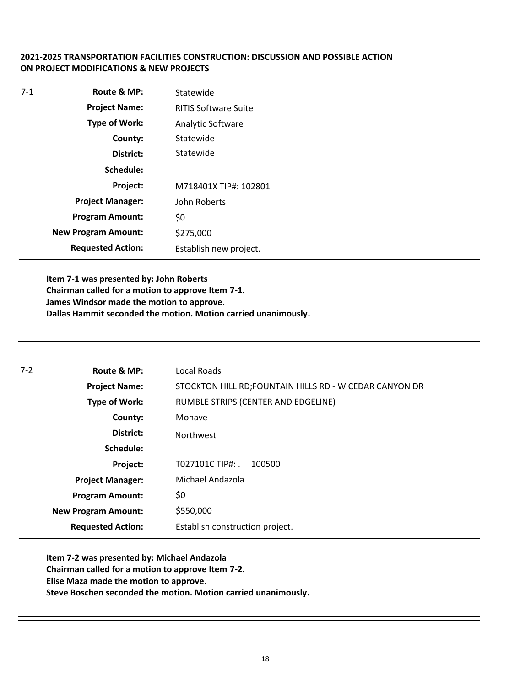## **2021-2025 TRANSPORTATION FACILITIES CONSTRUCTION: DISCUSSION AND POSSIBLE ACTION ON PROJECT MODIFICATIONS & NEW PROJECTS**

| $7-1$ | Route & MP:                | Statewide                   |
|-------|----------------------------|-----------------------------|
|       | <b>Project Name:</b>       | <b>RITIS Software Suite</b> |
|       | <b>Type of Work:</b>       | Analytic Software           |
|       | County:                    | Statewide                   |
|       | District:                  | Statewide                   |
|       | Schedule:                  |                             |
|       | Project:                   | M718401X TIP#: 102801       |
|       | <b>Project Manager:</b>    | John Roberts                |
|       | <b>Program Amount:</b>     | \$0                         |
|       | <b>New Program Amount:</b> | \$275,000                   |
|       | <b>Requested Action:</b>   | Establish new project.      |

**Item 7-1 was presented by: John Roberts Chairman called for a motion to approve Item 7-1. James Windsor made the motion to approve. Dallas Hammit seconded the motion. Motion carried unanimously.**

| $7-2$                         | Route & MP:                                                                                        | Local Roads                                             |  |
|-------------------------------|----------------------------------------------------------------------------------------------------|---------------------------------------------------------|--|
| <b>Project Name:</b>          |                                                                                                    | STOCKTON HILL RD; FOUNTAIN HILLS RD - W CEDAR CANYON DR |  |
|                               | Type of Work:                                                                                      | RUMBLE STRIPS (CENTER AND EDGELINE)                     |  |
|                               | Mohave<br>County:                                                                                  |                                                         |  |
| District:<br><b>Northwest</b> |                                                                                                    |                                                         |  |
|                               | Schedule:<br>T027101C TIP#: .<br>100500<br>Project:<br>Michael Andazola<br><b>Project Manager:</b> |                                                         |  |
|                               |                                                                                                    |                                                         |  |
|                               |                                                                                                    |                                                         |  |
|                               | <b>Program Amount:</b>                                                                             | \$0                                                     |  |
|                               | <b>New Program Amount:</b>                                                                         | \$550,000                                               |  |
|                               | <b>Requested Action:</b>                                                                           | Establish construction project.                         |  |

**Item 7-2 was presented by: Michael Andazola Chairman called for a motion to approve Item 7-2. Elise Maza made the motion to approve. Steve Boschen seconded the motion. Motion carried unanimously.**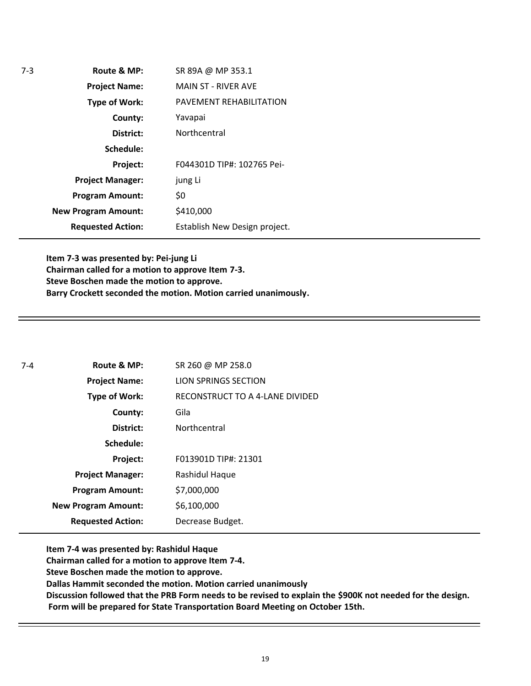| $7-3$ | Route & MP:                | SR 89A @ MP 353.1             |
|-------|----------------------------|-------------------------------|
|       | <b>Project Name:</b>       | <b>MAIN ST - RIVER AVE</b>    |
|       | <b>Type of Work:</b>       | PAVEMENT REHABILITATION       |
|       | County:                    | Yavapai                       |
|       | District:                  | Northcentral                  |
|       | Schedule:                  |                               |
|       | Project:                   | F044301D TIP#: 102765 Pei-    |
|       | <b>Project Manager:</b>    | jung Li                       |
|       | <b>Program Amount:</b>     | \$0                           |
|       | <b>New Program Amount:</b> | \$410,000                     |
|       | <b>Requested Action:</b>   | Establish New Design project. |

**Item 7-3 was presented by: Pei-jung Li Chairman called for a motion to approve Item 7-3. Steve Boschen made the motion to approve. Barry Crockett seconded the motion. Motion carried unanimously.**

| $7 - 4$ | Route & MP:                | SR 260 @ MP 258.0               |
|---------|----------------------------|---------------------------------|
|         | <b>Project Name:</b>       | <b>LION SPRINGS SECTION</b>     |
|         | <b>Type of Work:</b>       | RECONSTRUCT TO A 4-LANE DIVIDED |
|         | County:                    | Gila                            |
|         | District:                  | Northcentral                    |
|         | Schedule:                  |                                 |
|         | Project:                   | F013901D TIP#: 21301            |
|         | <b>Project Manager:</b>    | Rashidul Haque                  |
|         | <b>Program Amount:</b>     | \$7,000,000                     |
|         | <b>New Program Amount:</b> | \$6,100,000                     |
|         | <b>Requested Action:</b>   | Decrease Budget.                |

**Item 7-4 was presented by: Rashidul Haque**

**Chairman called for a motion to approve Item 7-4.**

**Steve Boschen made the motion to approve.**

**Dallas Hammit seconded the motion. Motion carried unanimously**

**Discussion followed that the PRB Form needs to be revised to explain the \$900K not needed for the design. Form will be prepared for State Transportation Board Meeting on October 15th.** 

19